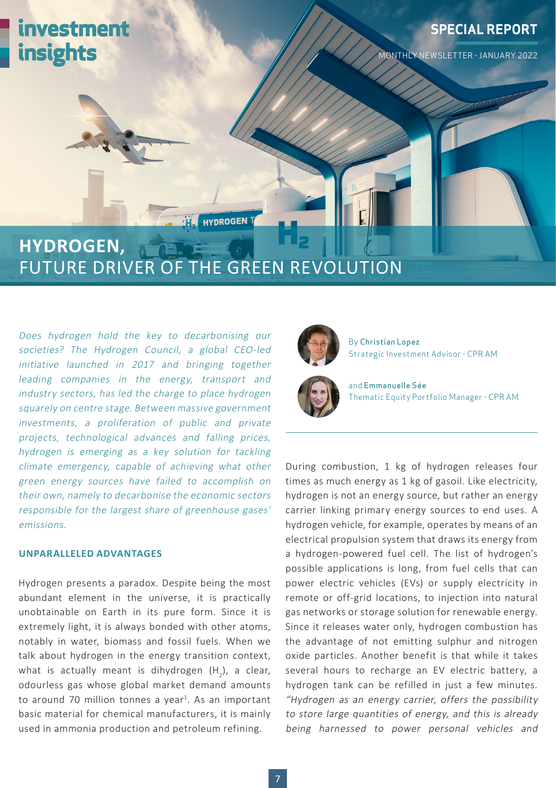

## FUTURE DRIVER OF THE GREEN REVOLUTION

Does hydrogen hold the key to decarbonising our societies? The Hydrogen Council, a global CEO-led initiative launched in 2017 and bringing together leading companies in the energy, transport and industry sectors, has led the charge to place hydrogen squarely on centre stage. Between massive government investments, a proliferation of public and private projects, technological advances and falling prices, hydrogen is emerging as a key solution for tackling climate emergency, capable of achieving what other green energy sources have failed to accomplish on their own, namely to decarbonise the economic sectors responsible for the largest share of greenhouse gases' emissions.

### **UNPARALLELED ADVANTAGES**

Hydrogen presents a paradox. Despite being the most abundant element in the universe, it is practically unobtainable on Earth in its pure form. Since it is extremely light, it is always bonded with other atoms, notably in water, biomass and fossil fuels. When we talk about hydrogen in the energy transition context, what is actually meant is dihydrogen  $(\mathsf{H}_{2})$ , a clear, odourless gas whose global market demand amounts to around 70 million tonnes a year<sup>1</sup>. As an important basic material for chemical manufacturers, it is mainly used in ammonia production and petroleum refining.



By Christian Lopez Strategic Investment Advisor - CPR AM



and Emmanuelle Sée Thematic Equity Portfolio Manager - CPR AM

During combustion, 1 kg of hydrogen releases four times as much energy as 1 kg of gasoil. Like electricity, hydrogen is not an energy source, but rather an energy carrier linking primary energy sources to end uses. A hydrogen vehicle, for example, operates by means of an electrical propulsion system that draws its energy from a hydrogen-powered fuel cell. The list of hydrogen's possible applications is long, from fuel cells that can power electric vehicles (EVs) or supply electricity in remote or off-grid locations, to injection into natural gas networks or storage solution for renewable energy. Since it releases water only, hydrogen combustion has the advantage of not emitting sulphur and nitrogen oxide particles. Another benefit is that while it takes several hours to recharge an EV electric battery, a hydrogen tank can be refilled in just a few minutes. "Hydrogen as an energy carrier, offers the possibility to store large quantities of energy, and this is already being harnessed to power personal vehicles and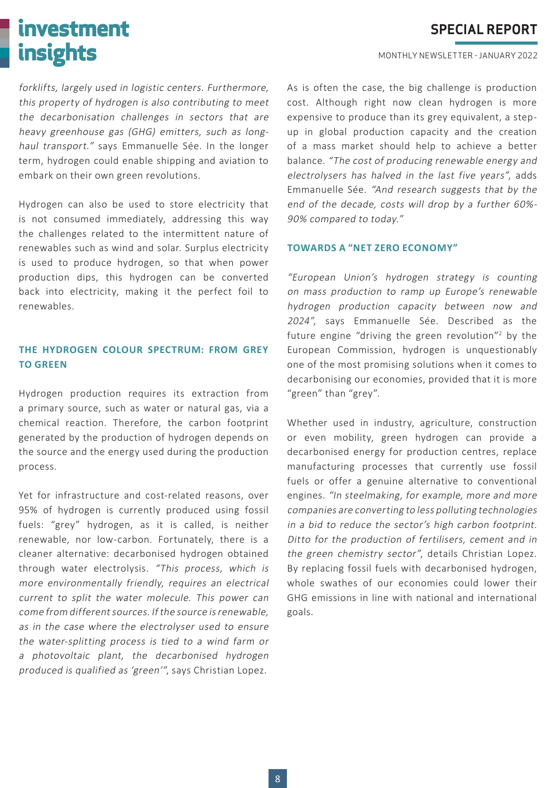# **investment insights**

**SPECIAL REPORT**

MONTHLY NEWSLETTER - JANUARY 2022

forklifts, largely used in logistic centers. Furthermore, this property of hydrogen is also contributing to meet the decarbonisation challenges in sectors that are heavy greenhouse gas (GHG) emitters, such as longhaul transport." says Emmanuelle Sée. In the longer term, hydrogen could enable shipping and aviation to embark on their own green revolutions.

Hydrogen can also be used to store electricity that is not consumed immediately, addressing this way the challenges related to the intermittent nature of renewables such as wind and solar. Surplus electricity is used to produce hydrogen, so that when power production dips, this hydrogen can be converted back into electricity, making it the perfect foil to renewables.

### **THE HYDROGEN COLOUR SPECTRUM: FROM GREY TO GREEN**

Hydrogen production requires its extraction from a primary source, such as water or natural gas, via a chemical reaction. Therefore, the carbon footprint generated by the production of hydrogen depends on the source and the energy used during the production process.

Yet for infrastructure and cost-related reasons, over 95% of hydrogen is currently produced using fossil fuels: "grey" hydrogen, as it is called, is neither renewable, nor low-carbon. Fortunately, there is a cleaner alternative: decarbonised hydrogen obtained through water electrolysis. "This process, which is more environmentally friendly, requires an electrical current to split the water molecule. This power can come from different sources. If the source is renewable, as in the case where the electrolyser used to ensure the water-splitting process is tied to a wind farm or a photovoltaic plant, the decarbonised hydrogen produced is qualified as 'green'", says Christian Lopez.

As is often the case, the big challenge is production cost. Although right now clean hydrogen is more expensive to produce than its grey equivalent, a stepup in global production capacity and the creation of a mass market should help to achieve a better balance. "The cost of producing renewable energy and electrolysers has halved in the last five years", adds Emmanuelle Sée. "And research suggests that by the end of the decade, costs will drop by a further 60%- 90% compared to today."

### **TOWARDS A "NET ZERO ECONOMY"**

"European Union's hydrogen strategy is counting on mass production to ramp up Europe's renewable hydrogen production capacity between now and 2024", says Emmanuelle Sée. Described as the future engine "driving the green revolution"<sup>2</sup> by the European Commission, hydrogen is unquestionably one of the most promising solutions when it comes to decarbonising our economies, provided that it is more "green" than "grey".

Whether used in industry, agriculture, construction or even mobility, green hydrogen can provide a decarbonised energy for production centres, replace manufacturing processes that currently use fossil fuels or offer a genuine alternative to conventional engines. "In steelmaking, for example, more and more companies are converting to less polluting technologies in a bid to reduce the sector's high carbon footprint. Ditto for the production of fertilisers, cement and in the green chemistry sector", details Christian Lopez. By replacing fossil fuels with decarbonised hydrogen, whole swathes of our economies could lower their GHG emissions in line with national and international goals.